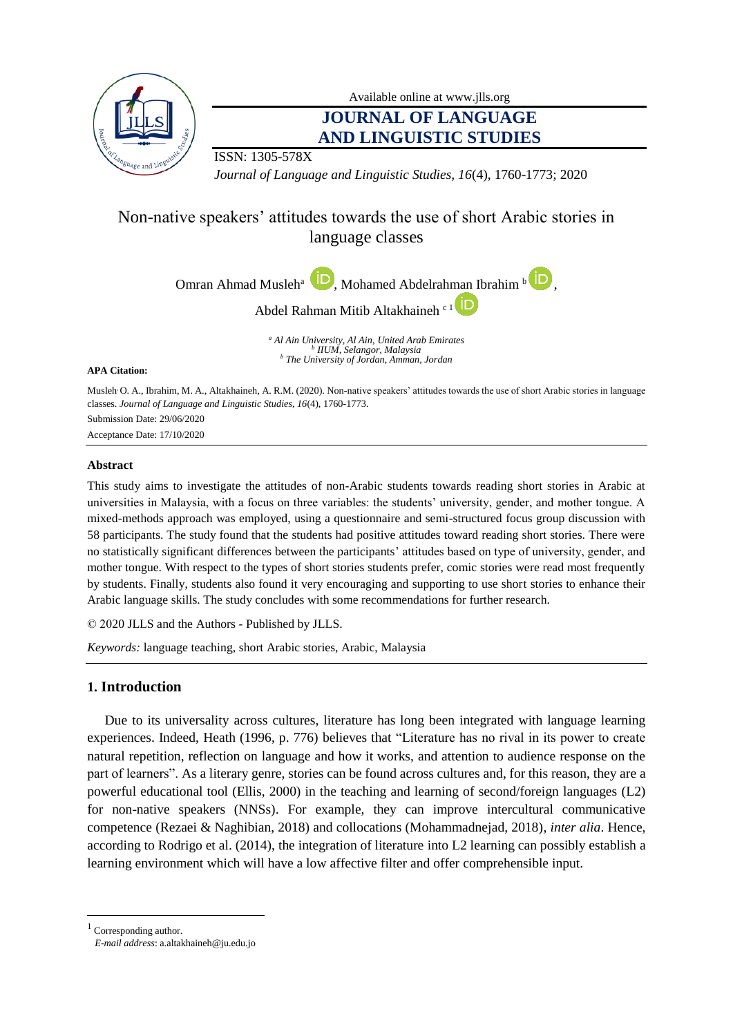

Available online at [www.jlls.org](http://www.jlls.org/)

# **JOURNAL OF LANGUAGE AND LINGUISTIC STUDIES**

,

ISSN: 1305-578X

*Journal of Language and Linguistic Studies, 16*(4), 1760-1773; 2020

# Non-native speakers' attitudes towards the use of short Arabic stories in language classes

Omran Ahmad Musleh<sup>a</sup> (Mohamed Abdelrahman Ibrahim<sup>b</sup>



*<sup>a</sup> Al Ain University, Al Ain, United Arab Emirates b IIUM, Selangor, Malaysia <sup>b</sup> The University of Jordan, Amman, Jordan*

#### **APA Citation:**

Musleh, O. A., Ibrahim, M. A., Altakhaineh, A. R.M. (2020). Non-native speakers' attitudes towards the use of short Arabic stories in language classes. *Journal of Language and Linguistic Studies, 16*(4), 1760-1773. Submission Date: 29/06/2020

Acceptance Date: 17/10/2020

## **Abstract**

This study aims to investigate the attitudes of non-Arabic students towards reading short stories in Arabic at universities in Malaysia, with a focus on three variables: the students' university, gender, and mother tongue. A mixed-methods approach was employed, using a questionnaire and semi-structured focus group discussion with 58 participants. The study found that the students had positive attitudes toward reading short stories. There were no statistically significant differences between the participants' attitudes based on type of university, gender, and mother tongue. With respect to the types of short stories students prefer, comic stories were read most frequently by students. Finally, students also found it very encouraging and supporting to use short stories to enhance their Arabic language skills. The study concludes with some recommendations for further research.

© 2020 JLLS and the Authors - Published by JLLS.

*Keywords:* language teaching, short Arabic stories, Arabic, Malaysia

# **1. Introduction**

Due to its universality across cultures, literature has long been integrated with language learning experiences. Indeed, Heath (1996, p. 776) believes that "Literature has no rival in its power to create natural repetition, reflection on language and how it works, and attention to audience response on the part of learners". As a literary genre, stories can be found across cultures and, for this reason, they are a powerful educational tool (Ellis, 2000) in the teaching and learning of second/foreign languages (L2) for non-native speakers (NNSs). For example, they can improve intercultural communicative competence (Rezaei & Naghibian, 2018) and collocations (Mohammadnejad, 2018), *inter alia*. Hence, according to Rodrigo et al. (2014), the integration of literature into L2 learning can possibly establish a learning environment which will have a low affective filter and offer comprehensible input.

 $^{\rm 1}$  Corresponding author.

l

*E-mail address*[: a.altakhaineh@ju.edu.jo](mailto:a.altakhaineh@ju.edu.jo)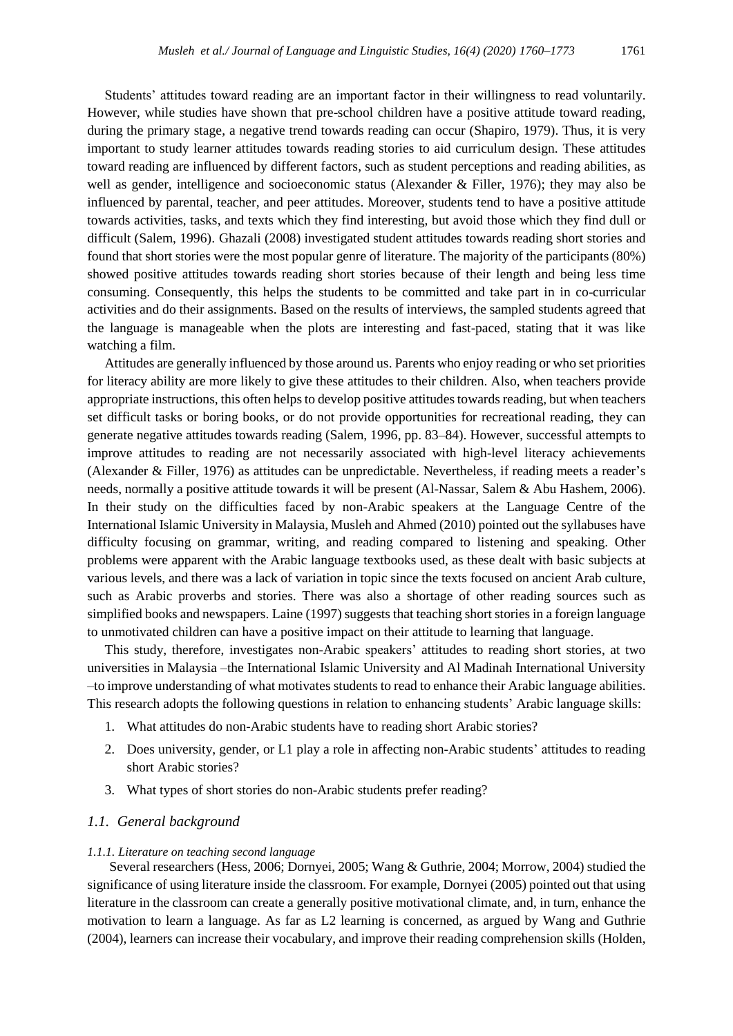Students' attitudes toward reading are an important factor in their willingness to read voluntarily. However, while studies have shown that pre-school children have a positive attitude toward reading, during the primary stage, a negative trend towards reading can occur (Shapiro, 1979). Thus, it is very important to study learner attitudes towards reading stories to aid curriculum design. These attitudes toward reading are influenced by different factors, such as student perceptions and reading abilities, as well as gender, intelligence and socioeconomic status (Alexander & Filler, 1976); they may also be influenced by parental, teacher, and peer attitudes. Moreover, students tend to have a positive attitude towards activities, tasks, and texts which they find interesting, but avoid those which they find dull or difficult (Salem, 1996). Ghazali (2008) investigated student attitudes towards reading short stories and found that short stories were the most popular genre of literature. The majority of the participants (80%) showed positive attitudes towards reading short stories because of their length and being less time consuming. Consequently, this helps the students to be committed and take part in in co-curricular activities and do their assignments. Based on the results of interviews, the sampled students agreed that the language is manageable when the plots are interesting and fast-paced, stating that it was like watching a film.

Attitudes are generally influenced by those around us. Parents who enjoy reading or who set priorities for literacy ability are more likely to give these attitudes to their children. Also, when teachers provide appropriate instructions, this often helps to develop positive attitudes towards reading, but when teachers set difficult tasks or boring books, or do not provide opportunities for recreational reading, they can generate negative attitudes towards reading (Salem, 1996, pp. 83–84). However, successful attempts to improve attitudes to reading are not necessarily associated with high-level literacy achievements (Alexander & Filler, 1976) as attitudes can be unpredictable. Nevertheless, if reading meets a reader's needs, normally a positive attitude towards it will be present (Al-Nassar, Salem & Abu Hashem, 2006). In their study on the difficulties faced by non-Arabic speakers at the Language Centre of the International Islamic University in Malaysia, Musleh and Ahmed (2010) pointed out the syllabuses have difficulty focusing on grammar, writing, and reading compared to listening and speaking. Other problems were apparent with the Arabic language textbooks used, as these dealt with basic subjects at various levels, and there was a lack of variation in topic since the texts focused on ancient Arab culture, such as Arabic proverbs and stories. There was also a shortage of other reading sources such as simplified books and newspapers. Laine (1997) suggests that teaching short stories in a foreign language to unmotivated children can have a positive impact on their attitude to learning that language.

This study, therefore, investigates non-Arabic speakers' attitudes to reading short stories, at two universities in Malaysia –the International Islamic University and Al Madinah International University –to improve understanding of what motivates students to read to enhance their Arabic language abilities. This research adopts the following questions in relation to enhancing students' Arabic language skills:

- 1. What attitudes do non-Arabic students have to reading short Arabic stories?
- 2. Does university, gender, or L1 play a role in affecting non-Arabic students' attitudes to reading short Arabic stories?
- 3. What types of short stories do non-Arabic students prefer reading?

### *1.1. General background*

#### *1.1.1. Literature on teaching second language*

Several researchers (Hess, 2006; Dornyei, 2005; Wang & Guthrie, 2004; Morrow, 2004) studied the significance of using literature inside the classroom. For example, Dornyei (2005) pointed out that using literature in the classroom can create a generally positive motivational climate, and, in turn, enhance the motivation to learn a language. As far as L2 learning is concerned, as argued by Wang and Guthrie (2004), learners can increase their vocabulary, and improve their reading comprehension skills (Holden,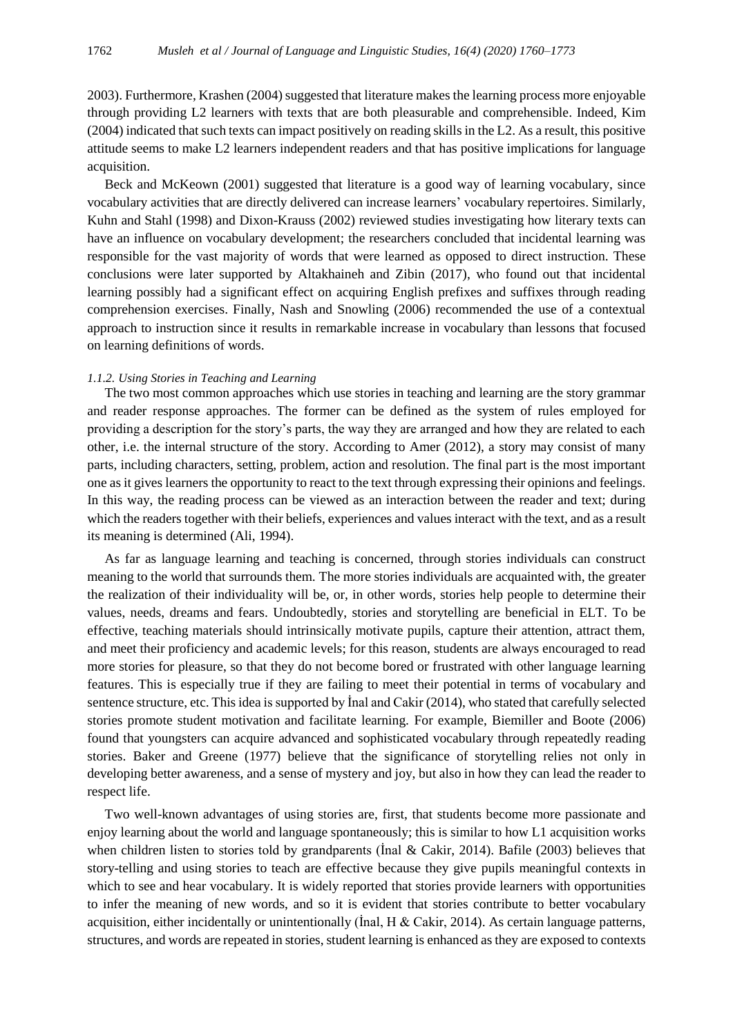2003). Furthermore, Krashen (2004) suggested that literature makes the learning process more enjoyable through providing L2 learners with texts that are both pleasurable and comprehensible. Indeed, Kim (2004) indicated that such texts can impact positively on reading skills in the L2. As a result, this positive attitude seems to make L2 learners independent readers and that has positive implications for language acquisition.

Beck and McKeown (2001) suggested that literature is a good way of learning vocabulary, since vocabulary activities that are directly delivered can increase learners' vocabulary repertoires. Similarly, Kuhn and Stahl (1998) and Dixon-Krauss (2002) reviewed studies investigating how literary texts can have an influence on vocabulary development; the researchers concluded that incidental learning was responsible for the vast majority of words that were learned as opposed to direct instruction. These conclusions were later supported by Altakhaineh and Zibin (2017), who found out that incidental learning possibly had a significant effect on acquiring English prefixes and suffixes through reading comprehension exercises. Finally, Nash and Snowling (2006) recommended the use of a contextual approach to instruction since it results in remarkable increase in vocabulary than lessons that focused on learning definitions of words.

#### *1.1.2. Using Stories in Teaching and Learning*

The two most common approaches which use stories in teaching and learning are the story grammar and reader response approaches. The former can be defined as the system of rules employed for providing a description for the story's parts, the way they are arranged and how they are related to each other, i.e. the internal structure of the story. According to Amer (2012), a story may consist of many parts, including characters, setting, problem, action and resolution. The final part is the most important one as it gives learners the opportunity to react to the text through expressing their opinions and feelings. In this way, the reading process can be viewed as an interaction between the reader and text; during which the readers together with their beliefs, experiences and values interact with the text, and as a result its meaning is determined (Ali, 1994).

As far as language learning and teaching is concerned, through stories individuals can construct meaning to the world that surrounds them. The more stories individuals are acquainted with, the greater the realization of their individuality will be, or, in other words, stories help people to determine their values, needs, dreams and fears. Undoubtedly, stories and storytelling are beneficial in ELT. To be effective, teaching materials should intrinsically motivate pupils, capture their attention, attract them, and meet their proficiency and academic levels; for this reason, students are always encouraged to read more stories for pleasure, so that they do not become bored or frustrated with other language learning features. This is especially true if they are failing to meet their potential in terms of vocabulary and sentence structure, etc. This idea is supported by İnal and Cakir (2014), who stated that carefully selected stories promote student motivation and facilitate learning. For example, Biemiller and Boote (2006) found that youngsters can acquire advanced and sophisticated vocabulary through repeatedly reading stories. Baker and Greene (1977) believe that the significance of storytelling relies not only in developing better awareness, and a sense of mystery and joy, but also in how they can lead the reader to respect life.

Two well-known advantages of using stories are, first, that students become more passionate and enjoy learning about the world and language spontaneously; this is similar to how L1 acquisition works when children listen to stories told by grandparents (İnal & Cakir, 2014). Bafile (2003) believes that story-telling and using stories to teach are effective because they give pupils meaningful contexts in which to see and hear vocabulary. It is widely reported that stories provide learners with opportunities to infer the meaning of new words, and so it is evident that stories contribute to better vocabulary acquisition, either incidentally or unintentionally (Inal, H  $\&$  Cakir, 2014). As certain language patterns, structures, and words are repeated in stories, student learning is enhanced as they are exposed to contexts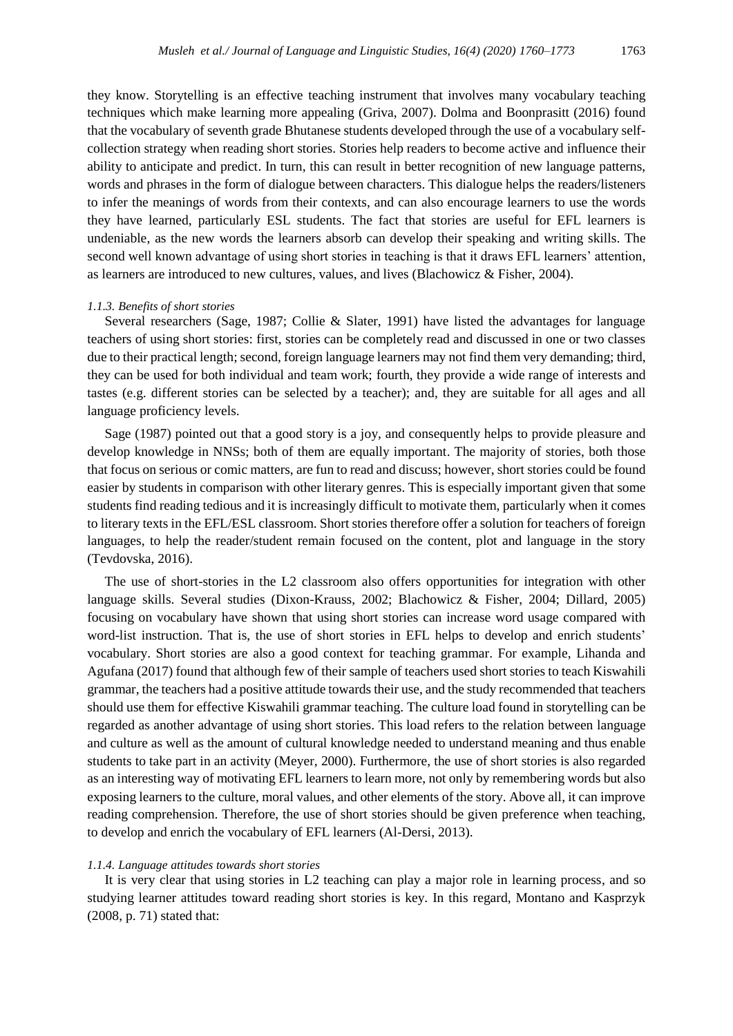they know. Storytelling is an effective teaching instrument that involves many vocabulary teaching techniques which make learning more appealing (Griva, 2007). Dolma and Boonprasitt (2016) found that the vocabulary of seventh grade Bhutanese students developed through the use of a vocabulary selfcollection strategy when reading short stories. Stories help readers to become active and influence their ability to anticipate and predict. In turn, this can result in better recognition of new language patterns, words and phrases in the form of dialogue between characters. This dialogue helps the readers/listeners to infer the meanings of words from their contexts, and can also encourage learners to use the words they have learned, particularly ESL students. The fact that stories are useful for EFL learners is undeniable, as the new words the learners absorb can develop their speaking and writing skills. The second well known advantage of using short stories in teaching is that it draws EFL learners' attention, as learners are introduced to new cultures, values, and lives (Blachowicz & Fisher, 2004).

#### *1.1.3. Benefits of short stories*

Several researchers (Sage, 1987; Collie & Slater, 1991) have listed the advantages for language teachers of using short stories: first, stories can be completely read and discussed in one or two classes due to their practical length; second, foreign language learners may not find them very demanding; third, they can be used for both individual and team work; fourth, they provide a wide range of interests and tastes (e.g. different stories can be selected by a teacher); and, they are suitable for all ages and all language proficiency levels.

Sage (1987) pointed out that a good story is a joy, and consequently helps to provide pleasure and develop knowledge in NNSs; both of them are equally important. The majority of stories, both those that focus on serious or comic matters, are fun to read and discuss; however, short stories could be found easier by students in comparison with other literary genres. This is especially important given that some students find reading tedious and it is increasingly difficult to motivate them, particularly when it comes to literary texts in the EFL/ESL classroom. Short stories therefore offer a solution for teachers of foreign languages, to help the reader/student remain focused on the content, plot and language in the story (Tevdovska, 2016).

The use of short-stories in the L2 classroom also offers opportunities for integration with other language skills. Several studies (Dixon-Krauss, 2002; Blachowicz & Fisher, 2004; Dillard, 2005) focusing on vocabulary have shown that using short stories can increase word usage compared with word-list instruction. That is, the use of short stories in EFL helps to develop and enrich students' vocabulary. Short stories are also a good context for teaching grammar. For example, Lihanda and Agufana (2017) found that although few of their sample of teachers used short stories to teach Kiswahili grammar, the teachers had a positive attitude towards their use, and the study recommended that teachers should use them for effective Kiswahili grammar teaching. The culture load found in storytelling can be regarded as another advantage of using short stories. This load refers to the relation between language and culture as well as the amount of cultural knowledge needed to understand meaning and thus enable students to take part in an activity (Meyer, 2000). Furthermore, the use of short stories is also regarded as an interesting way of motivating EFL learners to learn more, not only by remembering words but also exposing learners to the culture, moral values, and other elements of the story. Above all, it can improve reading comprehension. Therefore, the use of short stories should be given preference when teaching, to develop and enrich the vocabulary of EFL learners (Al-Dersi, 2013).

#### *1.1.4. Language attitudes towards short stories*

It is very clear that using stories in L2 teaching can play a major role in learning process, and so studying learner attitudes toward reading short stories is key. In this regard, Montano and Kasprzyk (2008, p. 71) stated that: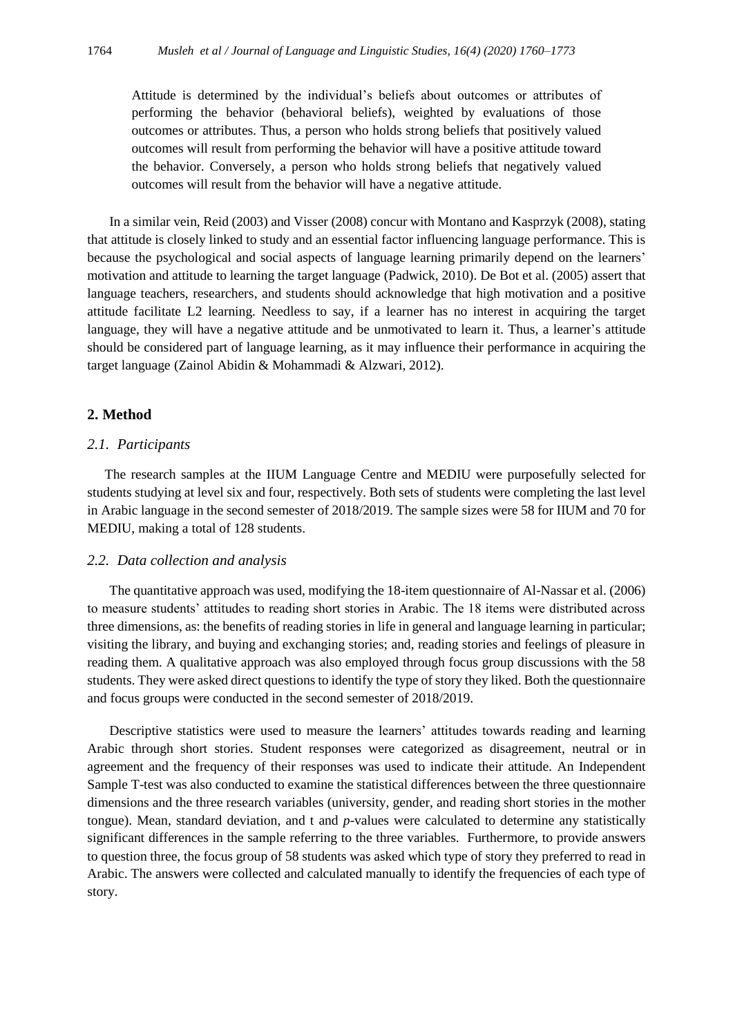Attitude is determined by the individual's beliefs about outcomes or attributes of performing the behavior (behavioral beliefs), weighted by evaluations of those outcomes or attributes. Thus, a person who holds strong beliefs that positively valued outcomes will result from performing the behavior will have a positive attitude toward the behavior. Conversely, a person who holds strong beliefs that negatively valued outcomes will result from the behavior will have a negative attitude.

In a similar vein, Reid (2003) and Visser (2008) concur with Montano and Kasprzyk (2008), stating that attitude is closely linked to study and an essential factor influencing language performance. This is because the psychological and social aspects of language learning primarily depend on the learners' motivation and attitude to learning the target language (Padwick, 2010). De Bot et al. (2005) assert that language teachers, researchers, and students should acknowledge that high motivation and a positive attitude facilitate L2 learning. Needless to say, if a learner has no interest in acquiring the target language, they will have a negative attitude and be unmotivated to learn it. Thus, a learner's attitude should be considered part of language learning, as it may influence their performance in acquiring the target language (Zainol Abidin & Mohammadi & Alzwari, 2012).

## **2. Method**

#### *2.1. Participants*

The research samples at the IIUM Language Centre and MEDIU were purposefully selected for students studying at level six and four, respectively. Both sets of students were completing the last level in Arabic language in the second semester of 2018/2019. The sample sizes were 58 for IIUM and 70 for MEDIU, making a total of 128 students.

### *2.2. Data collection and analysis*

The quantitative approach was used, modifying the 18-item questionnaire of Al-Nassar et al. (2006) to measure students' attitudes to reading short stories in Arabic. The 18 items were distributed across three dimensions, as: the benefits of reading stories in life in general and language learning in particular; visiting the library, and buying and exchanging stories; and, reading stories and feelings of pleasure in reading them. A qualitative approach was also employed through focus group discussions with the 58 students. They were asked direct questions to identify the type of story they liked. Both the questionnaire and focus groups were conducted in the second semester of 2018/2019.

Descriptive statistics were used to measure the learners' attitudes towards reading and learning Arabic through short stories. Student responses were categorized as disagreement, neutral or in agreement and the frequency of their responses was used to indicate their attitude. An Independent Sample T-test was also conducted to examine the statistical differences between the three questionnaire dimensions and the three research variables (university, gender, and reading short stories in the mother tongue). Mean, standard deviation, and t and *p*-values were calculated to determine any statistically significant differences in the sample referring to the three variables. Furthermore, to provide answers to question three, the focus group of 58 students was asked which type of story they preferred to read in Arabic. The answers were collected and calculated manually to identify the frequencies of each type of story.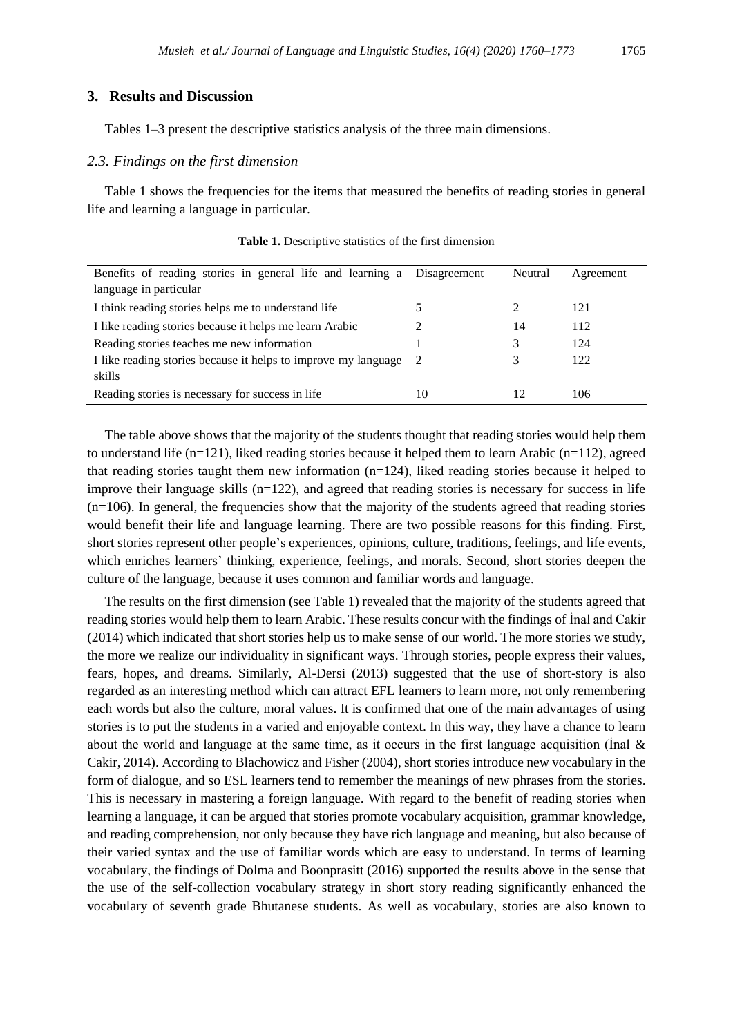## **3. Results and Discussion**

Tables 1–3 present the descriptive statistics analysis of the three main dimensions.

#### *2.3. Findings on the first dimension*

Table 1 shows the frequencies for the items that measured the benefits of reading stories in general life and learning a language in particular.

| Benefits of reading stories in general life and learning a Disagreement |                             | Neutral | Agreement |
|-------------------------------------------------------------------------|-----------------------------|---------|-----------|
| language in particular                                                  |                             |         |           |
| I think reading stories helps me to understand life                     |                             |         | 121       |
| I like reading stories because it helps me learn Arabic                 | $\mathcal{D}_{\mathcal{A}}$ | 14      | 112       |
| Reading stories teaches me new information                              |                             |         | 124       |
| I like reading stories because it helps to improve my language          | 2                           |         | 122       |
| skills                                                                  |                             |         |           |
| Reading stories is necessary for success in life                        | 10                          | 12      | 106       |

**Table 1.** Descriptive statistics of the first dimension

The table above shows that the majority of the students thought that reading stories would help them to understand life  $(n=121)$ , liked reading stories because it helped them to learn Arabic  $(n=112)$ , agreed that reading stories taught them new information (n=124), liked reading stories because it helped to improve their language skills  $(n=122)$ , and agreed that reading stories is necessary for success in life  $(n=106)$ . In general, the frequencies show that the majority of the students agreed that reading stories would benefit their life and language learning. There are two possible reasons for this finding. First, short stories represent other people's experiences, opinions, culture, traditions, feelings, and life events, which enriches learners' thinking, experience, feelings, and morals. Second, short stories deepen the culture of the language, because it uses common and familiar words and language.

The results on the first dimension (see Table 1) revealed that the majority of the students agreed that reading stories would help them to learn Arabic. These results concur with the findings of İnal and Cakir (2014) which indicated that short stories help us to make sense of our world. The more stories we study, the more we realize our individuality in significant ways. Through stories, people express their values, fears, hopes, and dreams. Similarly, Al-Dersi (2013) suggested that the use of short-story is also regarded as an interesting method which can attract EFL learners to learn more, not only remembering each words but also the culture, moral values. It is confirmed that one of the main advantages of using stories is to put the students in a varied and enjoyable context. In this way, they have a chance to learn about the world and language at the same time, as it occurs in the first language acquisition (İnal & Cakir, 2014). According to Blachowicz and Fisher (2004), short stories introduce new vocabulary in the form of dialogue, and so ESL learners tend to remember the meanings of new phrases from the stories. This is necessary in mastering a foreign language. With regard to the benefit of reading stories when learning a language, it can be argued that stories promote vocabulary acquisition, grammar knowledge, and reading comprehension, not only because they have rich language and meaning, but also because of their varied syntax and the use of familiar words which are easy to understand. In terms of learning vocabulary, the findings of Dolma and Boonprasitt (2016) supported the results above in the sense that the use of the self-collection vocabulary strategy in short story reading significantly enhanced the vocabulary of seventh grade Bhutanese students. As well as vocabulary, stories are also known to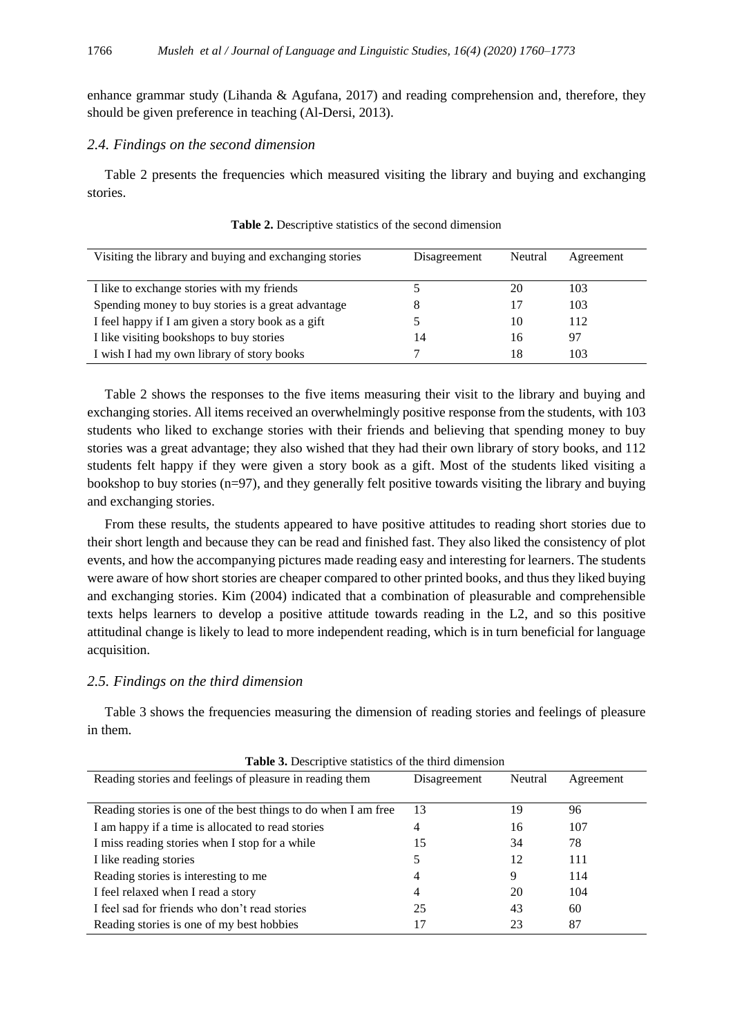enhance grammar study (Lihanda & Agufana, 2017) and reading comprehension and, therefore, they should be given preference in teaching (Al-Dersi, 2013).

#### *2.4. Findings on the second dimension*

Table 2 presents the frequencies which measured visiting the library and buying and exchanging stories.

| Visiting the library and buying and exchanging stories | Disagreement | Neutral | Agreement |
|--------------------------------------------------------|--------------|---------|-----------|
|                                                        |              |         |           |
| I like to exchange stories with my friends             |              | 20      | 103       |
| Spending money to buy stories is a great advantage     | 8            |         | 103       |
| I feel happy if I am given a story book as a gift      |              | 10      | 112       |
| I like visiting bookshops to buy stories               | 14           | 16      | 97        |
| I wish I had my own library of story books             |              | 18      | 103       |

**Table 2.** Descriptive statistics of the second dimension

Table 2 shows the responses to the five items measuring their visit to the library and buying and exchanging stories. All items received an overwhelmingly positive response from the students, with 103 students who liked to exchange stories with their friends and believing that spending money to buy stories was a great advantage; they also wished that they had their own library of story books, and 112 students felt happy if they were given a story book as a gift. Most of the students liked visiting a bookshop to buy stories (n=97), and they generally felt positive towards visiting the library and buying and exchanging stories.

From these results, the students appeared to have positive attitudes to reading short stories due to their short length and because they can be read and finished fast. They also liked the consistency of plot events, and how the accompanying pictures made reading easy and interesting for learners. The students were aware of how short stories are cheaper compared to other printed books, and thus they liked buying and exchanging stories. Kim (2004) indicated that a combination of pleasurable and comprehensible texts helps learners to develop a positive attitude towards reading in the L2, and so this positive attitudinal change is likely to lead to more independent reading, which is in turn beneficial for language acquisition.

### *2.5. Findings on the third dimension*

Table 3 shows the frequencies measuring the dimension of reading stories and feelings of pleasure in them.

| <b>Table 3.</b> Descriptive statistics of the third dimension  |              |         |           |  |
|----------------------------------------------------------------|--------------|---------|-----------|--|
| Reading stories and feelings of pleasure in reading them       | Disagreement | Neutral | Agreement |  |
|                                                                |              |         |           |  |
| Reading stories is one of the best things to do when I am free | 13           | 19      | 96        |  |
| I am happy if a time is allocated to read stories              | 4            | 16      | 107       |  |
| I miss reading stories when I stop for a while                 | 15           | 34      | 78        |  |
| I like reading stories                                         |              | 12      | 111       |  |
| Reading stories is interesting to me                           | 4            | 9       | 114       |  |
| I feel relaxed when I read a story                             | 4            | 20      | 104       |  |
| I feel sad for friends who don't read stories                  | 25           | 43      | 60        |  |
| Reading stories is one of my best hobbies                      | 17           | 23      | 87        |  |

**Table 3.** Descriptive statistics of the third dimension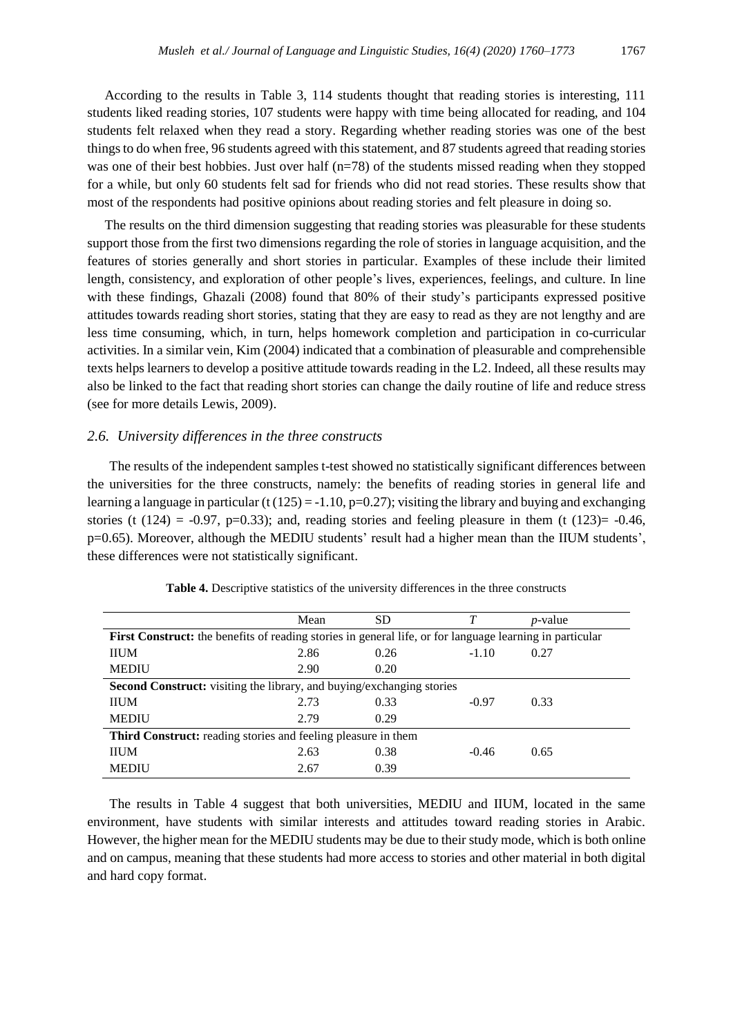According to the results in Table 3, 114 students thought that reading stories is interesting, 111 students liked reading stories, 107 students were happy with time being allocated for reading, and 104 students felt relaxed when they read a story. Regarding whether reading stories was one of the best things to do when free, 96 students agreed with this statement, and 87 students agreed that reading stories was one of their best hobbies. Just over half (n=78) of the students missed reading when they stopped for a while, but only 60 students felt sad for friends who did not read stories. These results show that most of the respondents had positive opinions about reading stories and felt pleasure in doing so.

The results on the third dimension suggesting that reading stories was pleasurable for these students support those from the first two dimensions regarding the role of stories in language acquisition, and the features of stories generally and short stories in particular. Examples of these include their limited length, consistency, and exploration of other people's lives, experiences, feelings, and culture. In line with these findings, Ghazali (2008) found that 80% of their study's participants expressed positive attitudes towards reading short stories, stating that they are easy to read as they are not lengthy and are less time consuming, which, in turn, helps homework completion and participation in co-curricular activities. In a similar vein, Kim (2004) indicated that a combination of pleasurable and comprehensible texts helps learners to develop a positive attitude towards reading in the L2. Indeed, all these results may also be linked to the fact that reading short stories can change the daily routine of life and reduce stress (see for more details Lewis, 2009).

# *2.6. University differences in the three constructs*

The results of the independent samples t-test showed no statistically significant differences between the universities for the three constructs, namely: the benefits of reading stories in general life and learning a language in particular (t  $(125) = -1.10$ , p=0.27); visiting the library and buying and exchanging stories (t (124) = -0.97, p=0.33); and, reading stories and feeling pleasure in them (t (123) = -0.46, p=0.65). Moreover, although the MEDIU students' result had a higher mean than the IIUM students', these differences were not statistically significant.

|                                                                                                          | Mean | <b>SD</b> | T       | $p$ -value |  |
|----------------------------------------------------------------------------------------------------------|------|-----------|---------|------------|--|
| First Construct: the benefits of reading stories in general life, or for language learning in particular |      |           |         |            |  |
| <b>IIUM</b>                                                                                              | 2.86 | 0.26      | $-1.10$ | 0.27       |  |
| <b>MEDIU</b>                                                                                             | 2.90 | 0.20      |         |            |  |
| <b>Second Construct:</b> visiting the library, and buying/exchanging stories                             |      |           |         |            |  |
| <b>IIUM</b>                                                                                              | 2.73 | 0.33      | $-0.97$ | 0.33       |  |
| <b>MEDIU</b>                                                                                             | 2.79 | 0.29      |         |            |  |
| <b>Third Construct:</b> reading stories and feeling pleasure in them                                     |      |           |         |            |  |
| <b>IIUM</b>                                                                                              | 2.63 | 0.38      | $-0.46$ | 0.65       |  |
| <b>MEDIU</b>                                                                                             | 2.67 | 0.39      |         |            |  |

**Table 4.** Descriptive statistics of the university differences in the three constructs

The results in Table 4 suggest that both universities, MEDIU and IIUM, located in the same environment, have students with similar interests and attitudes toward reading stories in Arabic. However, the higher mean for the MEDIU students may be due to their study mode, which is both online and on campus, meaning that these students had more access to stories and other material in both digital and hard copy format.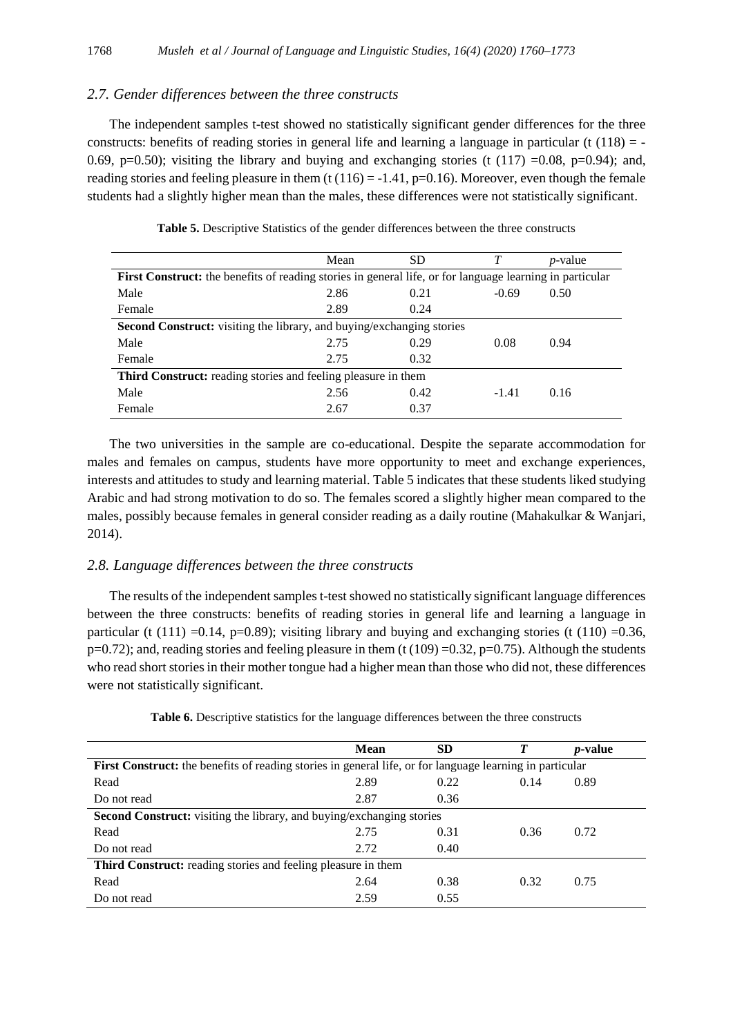## *2.7. Gender differences between the three constructs*

The independent samples t-test showed no statistically significant gender differences for the three constructs: benefits of reading stories in general life and learning a language in particular (t  $(118)$  = -0.69, p=0.50); visiting the library and buying and exchanging stories (t  $(117)$  =0.08, p=0.94); and, reading stories and feeling pleasure in them (t  $(116) = -1.41$ , p=0.16). Moreover, even though the female students had a slightly higher mean than the males, these differences were not statistically significant.

|                                                                                                          | Mean | <b>SD</b> | T       | <i>p</i> -value |  |
|----------------------------------------------------------------------------------------------------------|------|-----------|---------|-----------------|--|
| First Construct: the benefits of reading stories in general life, or for language learning in particular |      |           |         |                 |  |
| Male                                                                                                     | 2.86 | 0.21      | $-0.69$ | 0.50            |  |
| Female                                                                                                   | 2.89 | 0.24      |         |                 |  |
| <b>Second Construct:</b> visiting the library, and buying/exchanging stories                             |      |           |         |                 |  |
| Male                                                                                                     | 2.75 | 0.29      | 0.08    | 0.94            |  |
| Female                                                                                                   | 2.75 | 0.32      |         |                 |  |
| Third Construct: reading stories and feeling pleasure in them                                            |      |           |         |                 |  |
| Male                                                                                                     | 2.56 | 0.42      | $-1.41$ | 0.16            |  |
| Female                                                                                                   | 2.67 | 0.37      |         |                 |  |

**Table 5.** Descriptive Statistics of the gender differences between the three constructs

The two universities in the sample are co-educational. Despite the separate accommodation for males and females on campus, students have more opportunity to meet and exchange experiences, interests and attitudes to study and learning material. Table 5 indicates that these students liked studying Arabic and had strong motivation to do so. The females scored a slightly higher mean compared to the males, possibly because females in general consider reading as a daily routine (Mahakulkar & Wanjari, 2014).

### *2.8. Language differences between the three constructs*

The results of the independent samples t-test showed no statistically significant language differences between the three constructs: benefits of reading stories in general life and learning a language in particular (t (111) =0.14, p=0.89); visiting library and buying and exchanging stories (t (110) =0.36,  $p=0.72$ ); and, reading stories and feeling pleasure in them (t (109) =0.32, p=0.75). Although the students who read short stories in their mother tongue had a higher mean than those who did not, these differences were not statistically significant.

|                                                                                                          | <b>Mean</b> | <b>SD</b> | T    | <i>p</i> -value |  |
|----------------------------------------------------------------------------------------------------------|-------------|-----------|------|-----------------|--|
| First Construct: the benefits of reading stories in general life, or for language learning in particular |             |           |      |                 |  |
| Read                                                                                                     | 2.89        | 0.22      | 0.14 | 0.89            |  |
| Do not read                                                                                              | 2.87        | 0.36      |      |                 |  |
| Second Construct: visiting the library, and buying/exchanging stories                                    |             |           |      |                 |  |
| Read                                                                                                     | 2.75        | 0.31      | 0.36 | 0.72            |  |
| Do not read                                                                                              | 2.72        | 0.40      |      |                 |  |
| <b>Third Construct:</b> reading stories and feeling pleasure in them                                     |             |           |      |                 |  |
| Read                                                                                                     | 2.64        | 0.38      | 0.32 | 0.75            |  |
| Do not read                                                                                              | 2.59        | 0.55      |      |                 |  |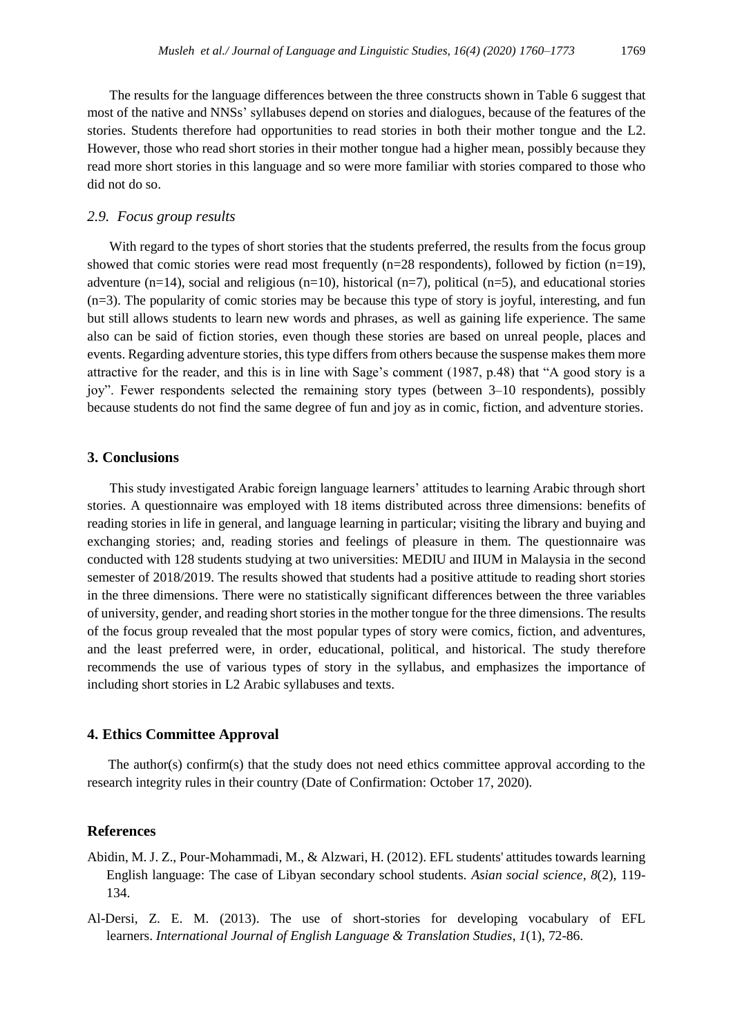The results for the language differences between the three constructs shown in Table 6 suggest that most of the native and NNSs' syllabuses depend on stories and dialogues, because of the features of the stories. Students therefore had opportunities to read stories in both their mother tongue and the L2. However, those who read short stories in their mother tongue had a higher mean, possibly because they read more short stories in this language and so were more familiar with stories compared to those who did not do so.

## *2.9. Focus group results*

With regard to the types of short stories that the students preferred, the results from the focus group showed that comic stories were read most frequently (n=28 respondents), followed by fiction (n=19), adventure  $(n=14)$ , social and religious  $(n=10)$ , historical  $(n=7)$ , political  $(n=5)$ , and educational stories (n=3). The popularity of comic stories may be because this type of story is joyful, interesting, and fun but still allows students to learn new words and phrases, as well as gaining life experience. The same also can be said of fiction stories, even though these stories are based on unreal people, places and events. Regarding adventure stories, this type differs from others because the suspense makes them more attractive for the reader, and this is in line with Sage's comment (1987, p.48) that "A good story is a joy". Fewer respondents selected the remaining story types (between 3–10 respondents), possibly because students do not find the same degree of fun and joy as in comic, fiction, and adventure stories.

## **3. Conclusions**

This study investigated Arabic foreign language learners' attitudes to learning Arabic through short stories. A questionnaire was employed with 18 items distributed across three dimensions: benefits of reading stories in life in general, and language learning in particular; visiting the library and buying and exchanging stories; and, reading stories and feelings of pleasure in them. The questionnaire was conducted with 128 students studying at two universities: MEDIU and IIUM in Malaysia in the second semester of 2018/2019. The results showed that students had a positive attitude to reading short stories in the three dimensions. There were no statistically significant differences between the three variables of university, gender, and reading short stories in the mother tongue for the three dimensions. The results of the focus group revealed that the most popular types of story were comics, fiction, and adventures, and the least preferred were, in order, educational, political, and historical. The study therefore recommends the use of various types of story in the syllabus, and emphasizes the importance of including short stories in L2 Arabic syllabuses and texts.

## **4. Ethics Committee Approval**

The author(s) confirm(s) that the study does not need ethics committee approval according to the research integrity rules in their country (Date of Confirmation: October 17, 2020).

#### **References**

- Abidin, M. J. Z., Pour-Mohammadi, M., & Alzwari, H. (2012). EFL students' attitudes towards learning English language: The case of Libyan secondary school students. *Asian social science*, *8*(2), 119- 134.
- Al-Dersi, Z. E. M. (2013). The use of short-stories for developing vocabulary of EFL learners. *International Journal of English Language & Translation Studies*, *1*(1), 72-86.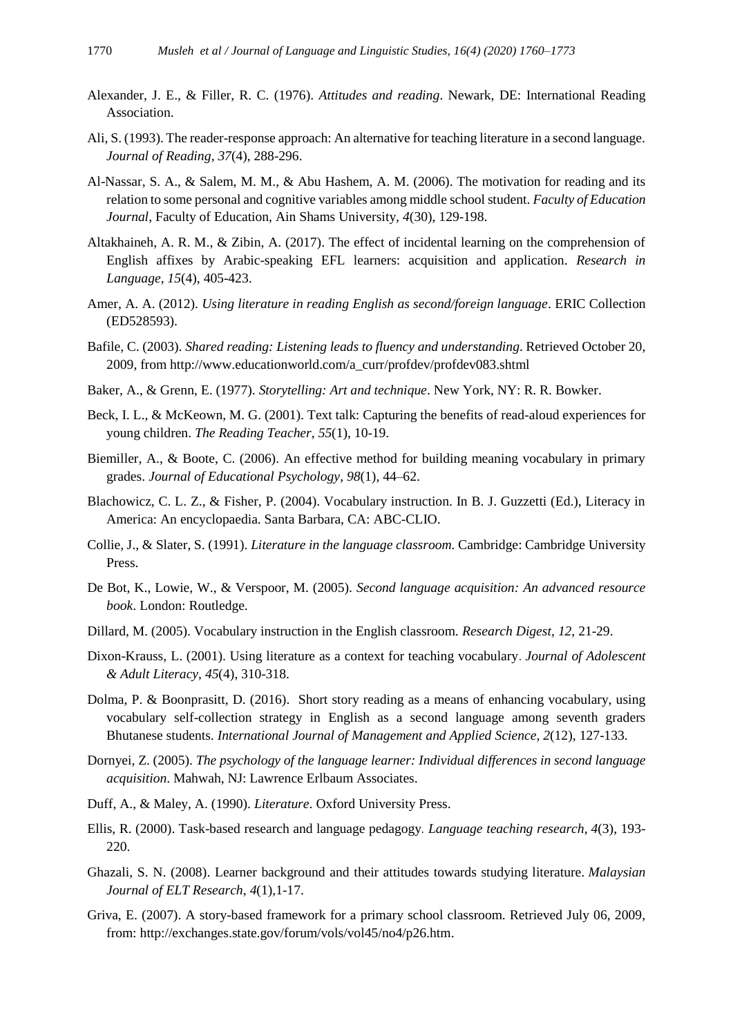- Alexander, J. E., & Filler, R. C. (1976). *Attitudes and reading*. Newark, DE: International Reading Association.
- Ali, S. (1993). The reader-response approach: An alternative for teaching literature in a second language. *Journal of Reading*, *37*(4), 288-296.
- Al-Nassar, S. A., & Salem, M. M., & Abu Hashem, A. M. (2006). The motivation for reading and its relation to some personal and cognitive variables among middle school student. *Faculty of Education Journal*, Faculty of Education, Ain Shams University, *4*(30), 129-198.
- Altakhaineh, A. R. M., & Zibin, A. (2017). The effect of incidental learning on the comprehension of English affixes by Arabic-speaking EFL learners: acquisition and application. *Research in Language*, *15*(4), 405-423.
- Amer, A. A. (2012). *Using literature in reading English as second/foreign language*. ERIC Collection (ED528593).
- Bafile, C. (2003). *Shared reading: Listening leads to fluency and understanding*. Retrieved October 20, 2009, from [http://www.educationworld.com/a\\_curr/profdev/profdev083.shtml](http://www.educationworld.com/a_curr/profdev/profdev083.shtml)
- Baker, A., & Grenn, E. (1977). *Storytelling: Art and technique*. New York, NY: R. R. Bowker.
- Beck, I. L., & McKeown, M. G. (2001). Text talk: Capturing the benefits of read-aloud experiences for young children. *The Reading Teacher*, *55*(1), 10-19.
- Biemiller, A., & Boote, C. (2006). An effective method for building meaning vocabulary in primary grades. *Journal of Educational Psychology*, *98*(1), 44–62.
- Blachowicz, C. L. Z., & Fisher, P. (2004). Vocabulary instruction. In B. J. Guzzetti (Ed.), Literacy in America: An encyclopaedia. Santa Barbara, CA: ABC-CLIO.
- Collie, J., & Slater, S. (1991). *Literature in the language classroom.* Cambridge: Cambridge University Press.
- De Bot, K., Lowie, W., & Verspoor, M. (2005). *Second language acquisition: An advanced resource book*. London: Routledge.
- Dillard, M. (2005). Vocabulary instruction in the English classroom. *Research Digest*, *12*, 21-29.
- Dixon-Krauss, L. (2001). Using literature as a context for teaching vocabulary. *Journal of Adolescent & Adult Literacy*, *45*(4), 310-318.
- Dolma, P. & Boonprasitt, D. (2016). Short story reading as a means of enhancing vocabulary, using vocabulary self-collection strategy in English as a second language among seventh graders Bhutanese students. *International Journal of Management and Applied Science*, *2*(12), 127-133.
- Dornyei, Z. (2005). *The psychology of the language learner: Individual differences in second language acquisition*. Mahwah, NJ: Lawrence Erlbaum Associates.
- Duff, A., & Maley, A. (1990). *Literature*. Oxford University Press.
- Ellis, R. (2000). Task-based research and language pedagogy*. Language teaching research*, *4*(3), 193- 220.
- Ghazali, S. N. (2008). Learner background and their attitudes towards studying literature. *Malaysian Journal of ELT Research*, *4*(1)*,*1-17.
- Griva, E. (2007). A story-based framework for a primary school classroom. Retrieved July 06, 2009, from: [http://exchanges.state.gov/forum/vols/vol45/no4/p26.htm.](http://exchanges.state.gov/forum/vols/vol45/no4/p26.htm)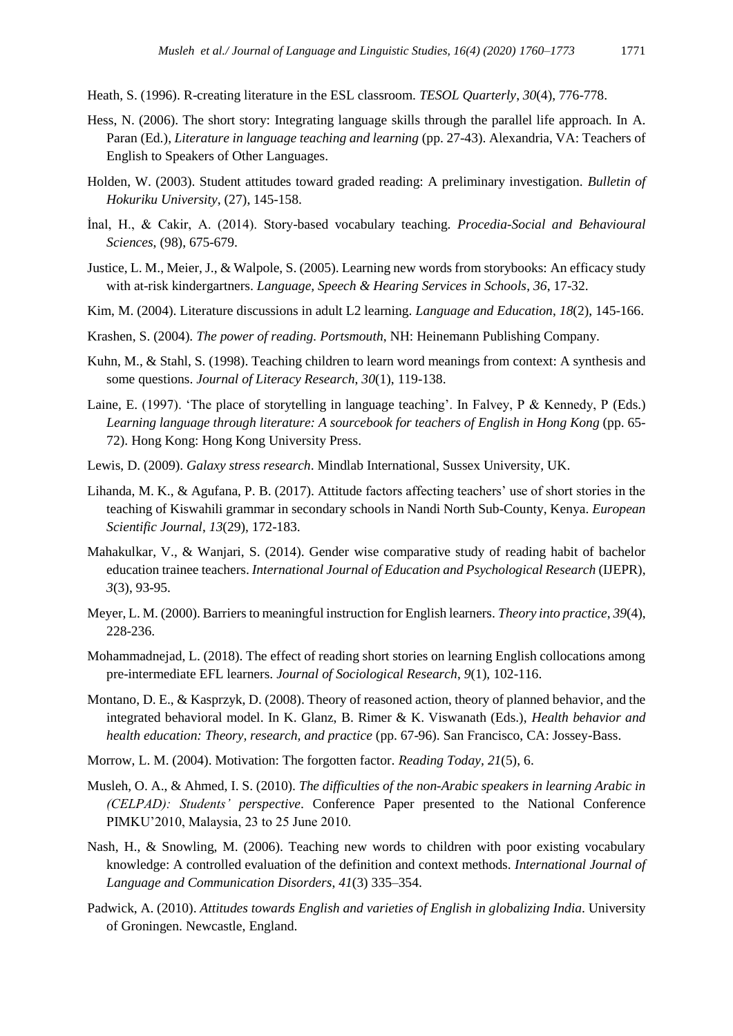Heath, S. (1996). R-creating literature in the ESL classroom. *TESOL Quarterly*, *30*(4), 776-778.

- Hess, N. (2006). The short story: Integrating language skills through the parallel life approach. In A. Paran (Ed.), *Literature in language teaching and learning* (pp. 27-43). Alexandria, VA: Teachers of English to Speakers of Other Languages.
- Holden, W. (2003). Student attitudes toward graded reading: A preliminary investigation. *Bulletin of Hokuriku University*, (27), 145-158.
- İnal, H., & Cakir, A. (2014). Story-based vocabulary teaching. *Procedia-Social and Behavioural Sciences*, (98), 675-679.
- Justice, L. M., Meier, J., & Walpole, S. (2005). Learning new words from storybooks: An efficacy study with at-risk kindergartners. *Language, Speech & Hearing Services in Schools*, *36*, 17-32.
- Kim, M. (2004). Literature discussions in adult L2 learning. *Language and Education*, *18*(2), 145-166.
- Krashen, S. (2004). *The power of reading. Portsmouth*, NH: Heinemann Publishing Company.
- Kuhn, M., & Stahl, S. (1998). Teaching children to learn word meanings from context: A synthesis and some questions. *Journal of Literacy Research*, *30*(1), 119-138.
- Laine, E. (1997). 'The place of storytelling in language teaching'. In Falvey, P & Kennedy, P (Eds.) *Learning language through literature: A sourcebook for teachers of English in Hong Kong* (pp. 65- 72). Hong Kong: Hong Kong University Press.
- Lewis, D. (2009). *Galaxy stress research*. Mindlab International, Sussex University, UK.
- Lihanda, M. K., & Agufana, P. B. (2017). Attitude factors affecting teachers' use of short stories in the teaching of Kiswahili grammar in secondary schools in Nandi North Sub-County, Kenya. *European Scientific Journal*, *13*(29), 172-183.
- Mahakulkar, V., & Wanjari, S. (2014). Gender wise comparative study of reading habit of bachelor education trainee teachers. *International Journal of Education and Psychological Research* (IJEPR), *3*(3), 93-95.
- Meyer, L. M. (2000). Barriers to meaningful instruction for English learners. *Theory into practice*, *39*(4), 228-236.
- Mohammadnejad, L. (2018). The effect of reading short stories on learning English collocations among pre-intermediate EFL learners. *Journal of Sociological Research*, *9*(1), 102-116.
- Montano, D. E., & Kasprzyk, D. (2008). Theory of reasoned action, theory of planned behavior, and the integrated behavioral model. In K. Glanz, B. Rimer & K. Viswanath (Eds.), *Health behavior and health education: Theory, research, and practice* (pp. 67-96). San Francisco, CA: Jossey-Bass.
- Morrow, L. M. (2004). Motivation: The forgotten factor. *Reading Today, 21*(5), 6.
- Musleh, O. A., & Ahmed, I. S. (2010). *The difficulties of the non-Arabic speakers in learning Arabic in (CELPAD): Students' perspective*. Conference Paper presented to the National Conference PIMKU'2010, Malaysia, 23 to 25 June 2010.
- Nash, H., & Snowling, M. (2006). Teaching new words to children with poor existing vocabulary knowledge: A controlled evaluation of the definition and context methods. *International Journal of Language and Communication Disorders*, *41*(3) 335–354.
- Padwick, A. (2010). *Attitudes towards English and varieties of English in globalizing India*. University of Groningen. Newcastle, England.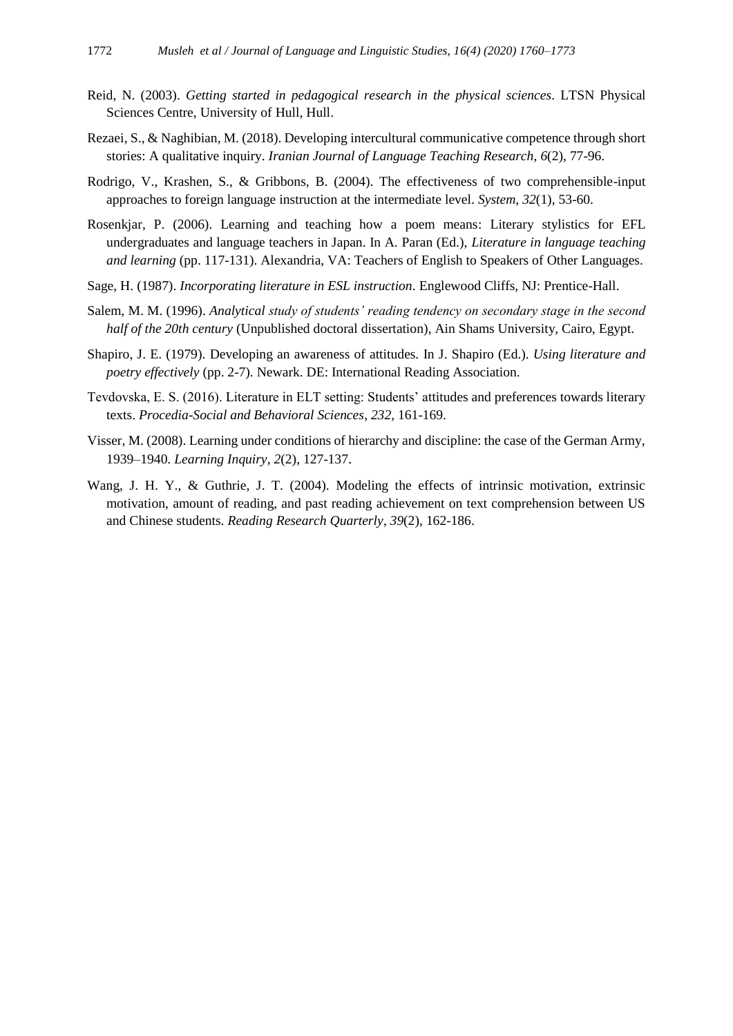- Reid, N. (2003). *Getting started in pedagogical research in the physical sciences*. LTSN Physical Sciences Centre, University of Hull, Hull.
- Rezaei, S., & Naghibian, M. (2018). Developing intercultural communicative competence through short stories: A qualitative inquiry. *Iranian Journal of Language Teaching Research*, *6*(2), 77-96.
- Rodrigo, V., Krashen, S., & Gribbons, B. (2004). The effectiveness of two comprehensible-input approaches to foreign language instruction at the intermediate level. *System*, *32*(1), 53-60.
- Rosenkjar, P. (2006). Learning and teaching how a poem means: Literary stylistics for EFL undergraduates and language teachers in Japan. In A. Paran (Ed.), *Literature in language teaching and learning* (pp. 117-131). Alexandria, VA: Teachers of English to Speakers of Other Languages.
- Sage, H. (1987). *Incorporating literature in ESL instruction*. Englewood Cliffs, NJ: Prentice-Hall.
- Salem, M. M. (1996). *Analytical study of students' reading tendency on secondary stage in the second half of the 20th century* (Unpublished doctoral dissertation), Ain Shams University, Cairo, Egypt.
- Shapiro, J. E. (1979). Developing an awareness of attitudes. In J. Shapiro (Ed.). *Using literature and poetry effectively* (pp. 2-7). Newark. DE: International Reading Association.
- Tevdovska, E. S. (2016). Literature in ELT setting: Students' attitudes and preferences towards literary texts. *Procedia-Social and Behavioral Sciences*, *232*, 161-169.
- Visser, M. (2008). Learning under conditions of hierarchy and discipline: the case of the German Army, 1939–1940. *Learning Inquiry*, *2*(2), 127-137.
- Wang, J. H. Y., & Guthrie, J. T. (2004). Modeling the effects of intrinsic motivation, extrinsic motivation, amount of reading, and past reading achievement on text comprehension between US and Chinese students. *Reading Research Quarterly*, *39*(2), 162-186.